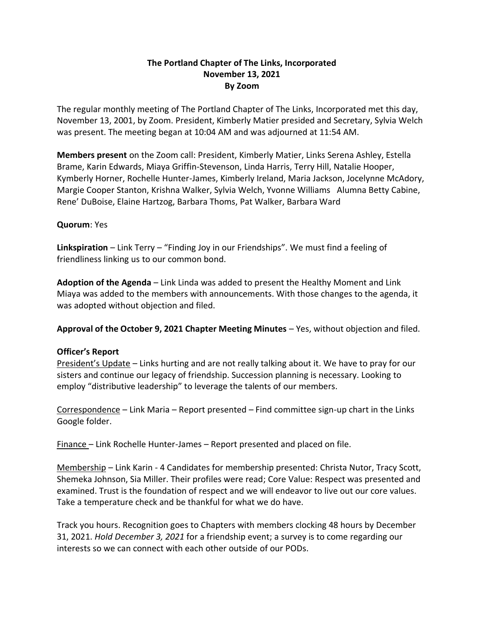## **The Portland Chapter of The Links, Incorporated November 13, 2021 By Zoom**

The regular monthly meeting of The Portland Chapter of The Links, Incorporated met this day, November 13, 2001, by Zoom. President, Kimberly Matier presided and Secretary, Sylvia Welch was present. The meeting began at 10:04 AM and was adjourned at 11:54 AM.

**Members present** on the Zoom call: President, Kimberly Matier, Links Serena Ashley, Estella Brame, Karin Edwards, Miaya Griffin-Stevenson, Linda Harris, Terry Hill, Natalie Hooper, Kymberly Horner, Rochelle Hunter-James, Kimberly Ireland, Maria Jackson, Jocelynne McAdory, Margie Cooper Stanton, Krishna Walker, Sylvia Welch, Yvonne Williams Alumna Betty Cabine, Rene' DuBoise, Elaine Hartzog, Barbara Thoms, Pat Walker, Barbara Ward

## **Quorum**: Yes

**Linkspiration** – Link Terry – "Finding Joy in our Friendships". We must find a feeling of friendliness linking us to our common bond.

**Adoption of the Agenda** – Link Linda was added to present the Healthy Moment and Link Miaya was added to the members with announcements. With those changes to the agenda, it was adopted without objection and filed.

**Approval of the October 9, 2021 Chapter Meeting Minutes** – Yes, without objection and filed.

## **Officer's Report**

President's Update – Links hurting and are not really talking about it. We have to pray for our sisters and continue our legacy of friendship. Succession planning is necessary. Looking to employ "distributive leadership" to leverage the talents of our members.

Correspondence – Link Maria – Report presented – Find committee sign-up chart in the Links Google folder.

Finance – Link Rochelle Hunter-James – Report presented and placed on file.

Membership – Link Karin - 4 Candidates for membership presented: Christa Nutor, Tracy Scott, Shemeka Johnson, Sia Miller. Their profiles were read; Core Value: Respect was presented and examined. Trust is the foundation of respect and we will endeavor to live out our core values. Take a temperature check and be thankful for what we do have.

Track you hours. Recognition goes to Chapters with members clocking 48 hours by December 31, 2021. *Hold December 3, 2021* for a friendship event; a survey is to come regarding our interests so we can connect with each other outside of our PODs.